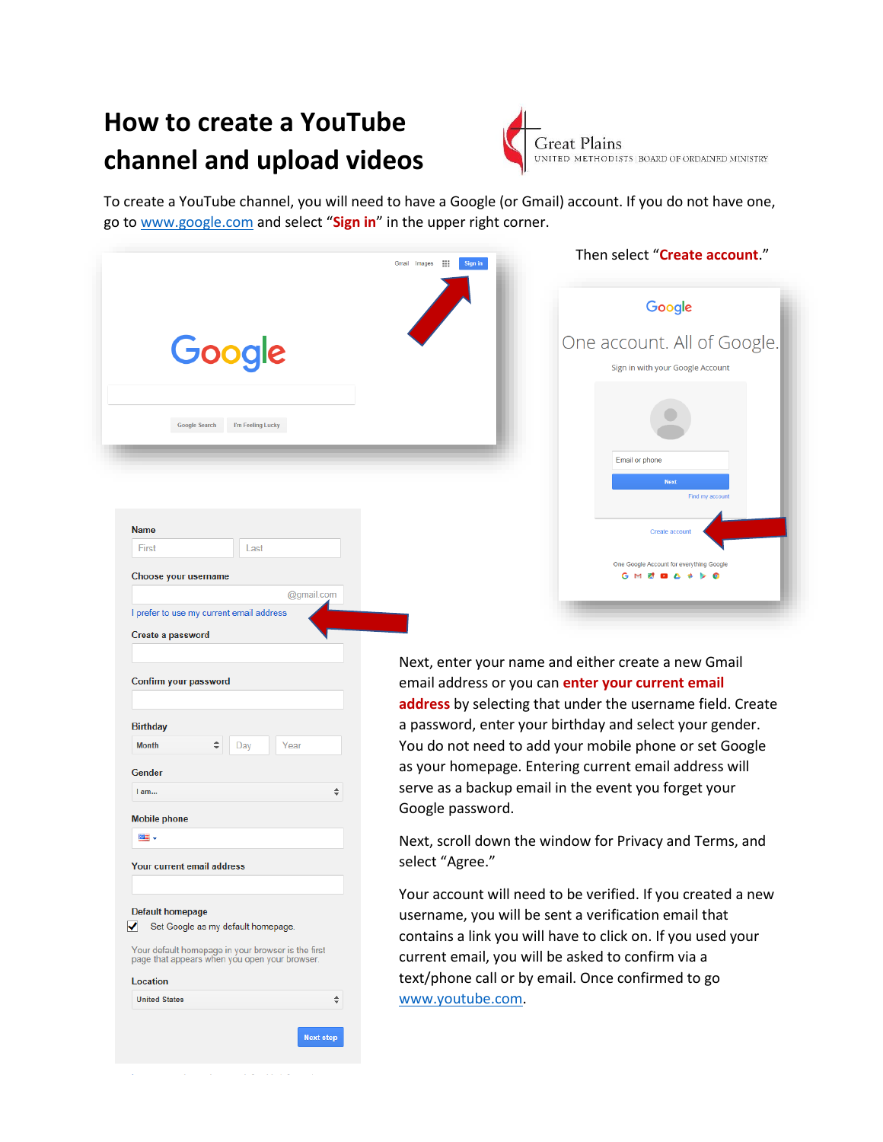## **How to create a YouTube channel and upload videos**

Your current email address

Set Google as my default homepage.

Your default homepage in your browser is the first<br>page that appears when you open your browser.

 $\hat{\div}$ 

**Next step** 

Default homepage

Location **United States** 



To create a YouTube channel, you will need to have a Google (or Gmail) account. If you do not have one, go to [www.google.com](http://www.google.com/) and select "**Sign in**" in the upper right corner.

|                                           | Then select "Create account."<br>m<br>Gmail Images<br>Sign in         |  |  |
|-------------------------------------------|-----------------------------------------------------------------------|--|--|
|                                           | Google                                                                |  |  |
| Google                                    | One account. All of Google.<br>Sign in with your Google Account       |  |  |
| <b>Google Search</b><br>I'm Feeling Lucky |                                                                       |  |  |
|                                           | Email or phone<br><b>Next</b>                                         |  |  |
|                                           | Find my account                                                       |  |  |
| <b>Name</b>                               | Create account                                                        |  |  |
| First<br>Last                             |                                                                       |  |  |
| Choose your username                      | One Google Account for everything Google<br><b>GM @ @ &amp; + b @</b> |  |  |
| @gmail.com                                |                                                                       |  |  |
| I prefer to use my current email address  |                                                                       |  |  |
| Create a password                         |                                                                       |  |  |
|                                           | Next, enter your name and either create a new Gmail                   |  |  |
| Confirm your password                     | email address or you can enter your current email                     |  |  |
|                                           | address by selecting that under the username field. Create            |  |  |
| <b>Birthday</b>                           | a password, enter your birthday and select your gender.               |  |  |
| ÷<br>Day<br>Year<br><b>Month</b>          | You do not need to add your mobile phone or set Google                |  |  |
| Gender                                    | as your homepage. Entering current email address will                 |  |  |
| ÷<br>$l$ am                               | serve as a backup email in the event you forget your                  |  |  |
| <b>Mobile phone</b>                       | Google password.                                                      |  |  |
| ⊞∎ -                                      | Next, scroll down the window for Privacy and Terms, and               |  |  |

Next, scroll down the window for Privacy and Terms, and select "Agree."

Your account will need to be verified. If you created a new username, you will be sent a verification email that contains a link you will have to click on. If you used your current email, you will be asked to confirm via a text/phone call or by email. Once confirmed to go [www.youtube.com.](http://www.youtube.com/)